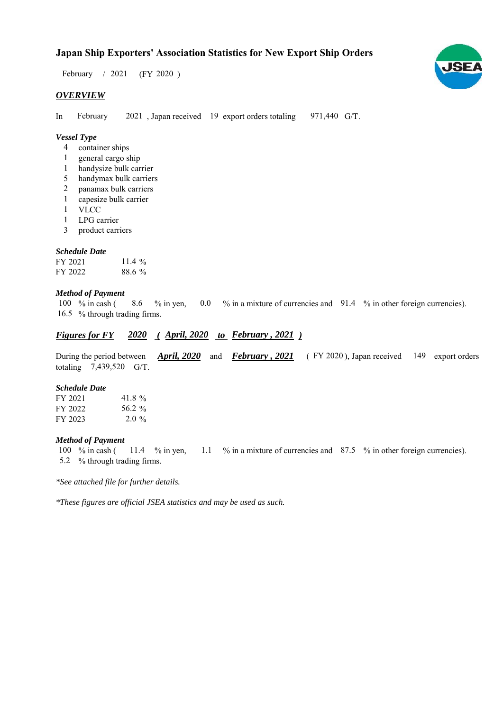$/ 2021$  (FY 2020) February / 2021

# *OVERVIEW*

In February 2021, Japan received 19 export orders totaling 971,440 G/T. February

# *Vessel Type*

- container ships 4
- general cargo ship 1
- handysize bulk carrier 1
- handymax bulk carriers 5
- panamax bulk carriers 2
- capesize bulk carrier 1
- **VLCC** 1
- LPG carrier 1
- product carriers 3

### *Schedule Date*

| FY 2021 | 11.4 $\frac{6}{9}$ |
|---------|--------------------|
| FY 2022 | 88.6 %             |

#### *Method of Payment*

% in cash ( $\frac{8.6}{8}$  % in yen,  $\frac{0.0 \times 10^{11} \text{ m}}{20.0 \times 10^{11} \text{ m}}$  a mixture of currencies and  $\frac{91.4 \times 10^{11} \text{ m}}{20.4 \times 10^{11} \text{ m}}$  other foreign currencies). 16.5 % through trading firms. 100 % in cash (

# *Figures for FY* 2020 (*April, 2020 to February , 2021*)

During the period between *April, 2020* and *February, 2021* (FY 2020), Japan received 149 export orders totaling  $7,439,520$  G/T.

#### *Schedule Date*

| FY 2021 | 41.8%   |
|---------|---------|
| FY 2022 | 56.2 %  |
| FY 2023 | $2.0\%$ |

#### *Method of Payment*

% in cash ( $11.4$  % in yen,  $1.1$  % in a mixture of currencies and 87.5 % in other foreign currencies). % through trading firms. 5.2 100 % in cash ( 11.4 % in yen,

*\*See attached file for further details.*

*\*These figures are official JSEA statistics and may be used as such.*

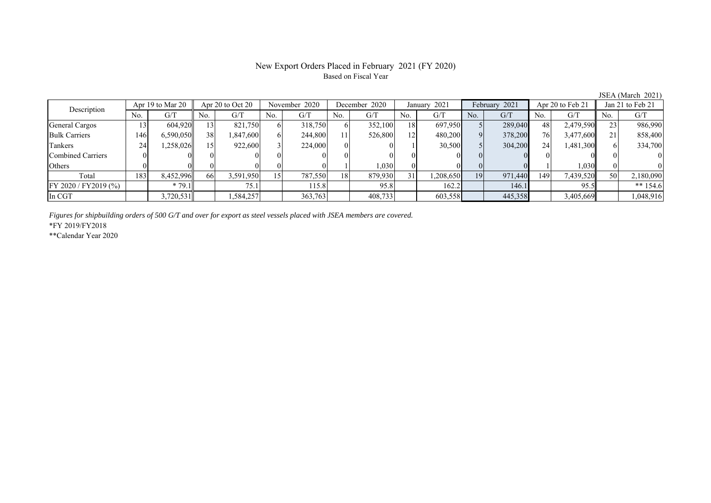# Based on Fiscal Year

No. G/T No. G/T No. G/T No. G/T No. G/T No. G/T No. G/T No. G/T General Cargos | 13| 604,920|| 13| 821,750| 6| 318,750| 6| 352,100| 18| 697,950| 5| 289,040| 48| 2,479,590|| 23| 986,990 Bulk Carriers | 146 6,590,050 38 1,847,600 6 244,800 11 526,800 12 480,200 9 378,200 76 3,477,600 21 858,400 Tankers 24 1,258,026 15 922,600 3 224,000 0 0 1 30,500 5 304,200 24 1,481,300 6 334,700 Combined Carriers 0 0 0 0 0 0 0 0 0 0 0 0 0 0 0 0 Others ( 0 0 0 0 0 0 0 0 1 1,030 0 0 0 0 1 1,030 0 0 Total 183 8,452,996 66 3,591,950 15 787,550 18 879,930 31 1,208,650 19 971,440 149 7,439,520 50 2,180,090 FY 2020 / FY2019 (%) \* 79.1 75.1 115.8 95.8 162.2 146.1 95.5 \*\* 154.6 In CGT | | 3,720,531 | | 1,584,257 | | 363,763 | | 408,733 | | 603,558 | | 445,358 | | 3,405,669 | | 1,048,916 Description Apr 19 to Mar 20 Apr 20 to Oct 20 November 2020 December 2020 January 2021 February 2021 Apr 20 to Feb 21 Jan 21 to Feb 21

*Figures for shipbuilding orders of 500 G/T and over for export as steel vessels placed with JSEA members are covered.*

\*FY 2019/FY2018

\*\*Calendar Year 2020

JSEA (March 2021)

# New Export Orders Placed in February 2021 (FY 2020)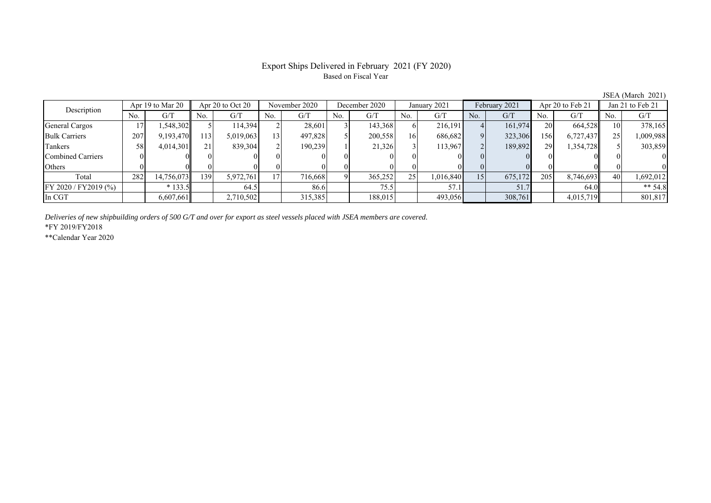### Export Ships Delivered in February 2021 (FY 2020) Based on Fiscal Year

JSEA (March 2021)<br>Jan 21 to Feb 21 No. G/T No. G/T No. G/T No. G/T No. G/T No. G/T No. G/T No. G/T General Cargos ( 17 1,548,302 5 114,394 2 28,601 3 143,368 6 216,191 4 161,974 20 664,528 10 378,165 Bulk Carriers | 207 | 9,193,470 |113 | 5,019,063 |13 | 497,828 | 5 | 200,558 | 16 | 686,682 | 9 | 323,306 |156 | 6,727,437 || 25 | 1,009,988 Tankers | 58| 4,014,301|| 21| 839,304| 2| 190,239| 1| 21,326| 3| 113,967| 2| 189,892| 29| 1,354,728|| 5| 303,859 Combined Carriers 0 0 0 0 0 0 0 0 0 0 0 0 0 0 0 0 Others 0 0 0 0 0 0 0 0 0 0 0 0 0 0 0 0 Total 282 14,756,073 139 5,972,761 17 716,668 9 365,252 25 1,016,840 15 675,172 205 8,746,693 40 1,692,012 FY 2020 / FY2019 (%) \* 133.5 64.5 64.5 86.6 75.5 57.1 57.1 51.7 64.0 \*\* 54.8 In CGT | | 6,607,661 | | 2,710,502 | | 315,385 | | 188,015 | | 493,056 | | 308,761 | | 4,015,719 | | 801,817 December 2020Description Apr 19 to Mar 20 Apr 20 to Oct 20 November 2020 December 2020<br>No. 6/T No. 6/T No. 6/T No. 6/T No. 6/T Apr 20 to Oct 20 November 2020 December 2020 January 2021 February 2021 Apr 20 to Feb 21

*Deliveries of new shipbuilding orders of 500 G/T and over for export as steel vessels placed with JSEA members are covered.*

\*FY 2019/FY2018

\*\*Calendar Year 2020